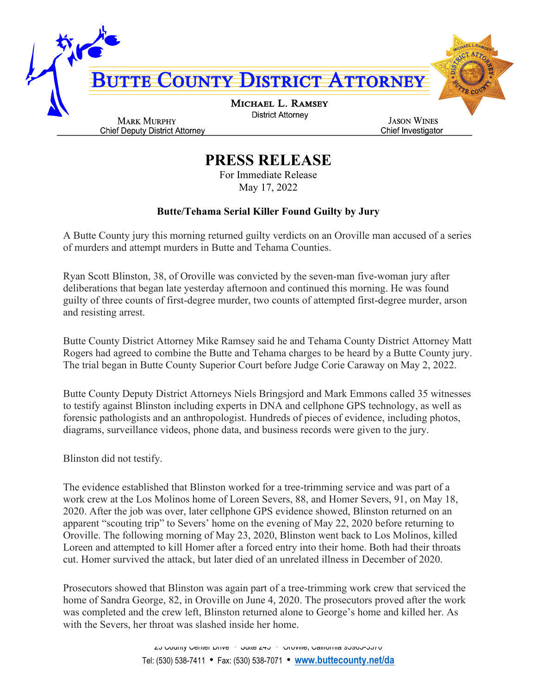

## **PRESS RELEASE**

For Immediate Release May 17, 2022

## **Butte/Tehama Serial Killer Found Guilty by Jury**

A Butte County jury this morning returned guilty verdicts on an Oroville man accused of a series of murders and attempt murders in Butte and Tehama Counties.

Ryan Scott Blinston, 38, of Oroville was convicted by the seven-man five-woman jury after deliberations that began late yesterday afternoon and continued this morning. He was found guilty of three counts of first-degree murder, two counts of attempted first-degree murder, arson and resisting arrest.

Butte County District Attorney Mike Ramsey said he and Tehama County District Attorney Matt Rogers had agreed to combine the Butte and Tehama charges to be heard by a Butte County jury. The trial began in Butte County Superior Court before Judge Corie Caraway on May 2, 2022.

Butte County Deputy District Attorneys Niels Bringsjord and Mark Emmons called 35 witnesses to testify against Blinston including experts in DNA and cellphone GPS technology, as well as forensic pathologists and an anthropologist. Hundreds of pieces of evidence, including photos, diagrams, surveillance videos, phone data, and business records were given to the jury.

Blinston did not testify.

The evidence established that Blinston worked for a tree-trimming service and was part of a work crew at the Los Molinos home of Loreen Severs, 88, and Homer Severs, 91, on May 18, 2020. After the job was over, later cellphone GPS evidence showed, Blinston returned on an apparent "scouting trip" to Severs' home on the evening of May 22, 2020 before returning to Oroville. The following morning of May 23, 2020, Blinston went back to Los Molinos, killed Loreen and attempted to kill Homer after a forced entry into their home. Both had their throats cut. Homer survived the attack, but later died of an unrelated illness in December of 2020.

Prosecutors showed that Blinston was again part of a tree-trimming work crew that serviced the home of Sandra George, 82, in Oroville on June 4, 2020. The prosecutors proved after the work was completed and the crew left, Blinston returned alone to George's home and killed her. As with the Severs, her throat was slashed inside her home.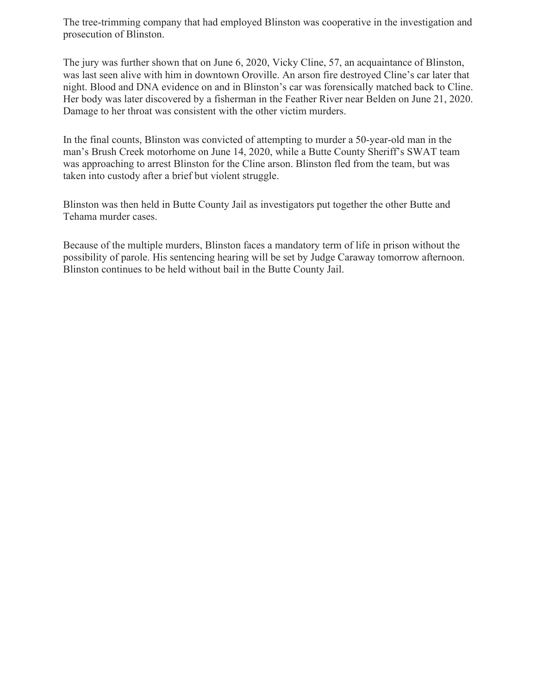The tree-trimming company that had employed Blinston was cooperative in the investigation and prosecution of Blinston.

The jury was further shown that on June 6, 2020, Vicky Cline, 57, an acquaintance of Blinston, was last seen alive with him in downtown Oroville. An arson fire destroyed Cline's car later that night. Blood and DNA evidence on and in Blinston's car was forensically matched back to Cline. Her body was later discovered by a fisherman in the Feather River near Belden on June 21, 2020. Damage to her throat was consistent with the other victim murders.

In the final counts, Blinston was convicted of attempting to murder a 50-year-old man in the man's Brush Creek motorhome on June 14, 2020, while a Butte County Sheriff's SWAT team was approaching to arrest Blinston for the Cline arson. Blinston fled from the team, but was taken into custody after a brief but violent struggle.

Blinston was then held in Butte County Jail as investigators put together the other Butte and Tehama murder cases.

Because of the multiple murders, Blinston faces a mandatory term of life in prison without the possibility of parole. His sentencing hearing will be set by Judge Caraway tomorrow afternoon. Blinston continues to be held without bail in the Butte County Jail.